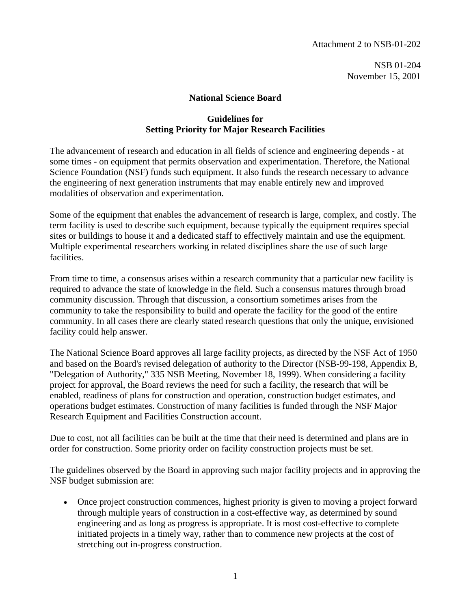Attachment 2 to NSB-01-202

NSB 01-204 November 15, 2001

## **National Science Board**

## **Guidelines for Setting Priority for Major Research Facilities**

The advancement of research and education in all fields of science and engineering depends - at some times - on equipment that permits observation and experimentation. Therefore, the National Science Foundation (NSF) funds such equipment. It also funds the research necessary to advance the engineering of next generation instruments that may enable entirely new and improved modalities of observation and experimentation.

Some of the equipment that enables the advancement of research is large, complex, and costly. The term facility is used to describe such equipment, because typically the equipment requires special sites or buildings to house it and a dedicated staff to effectively maintain and use the equipment. Multiple experimental researchers working in related disciplines share the use of such large facilities.

From time to time, a consensus arises within a research community that a particular new facility is required to advance the state of knowledge in the field. Such a consensus matures through broad community discussion. Through that discussion, a consortium sometimes arises from the community to take the responsibility to build and operate the facility for the good of the entire community. In all cases there are clearly stated research questions that only the unique, envisioned facility could help answer.

The National Science Board approves all large facility projects, as directed by the NSF Act of 1950 and based on the Board's revised delegation of authority to the Director (NSB-99-198, Appendix B, "Delegation of Authority," 335 NSB Meeting, November 18, 1999). When considering a facility project for approval, the Board reviews the need for such a facility, the research that will be enabled, readiness of plans for construction and operation, construction budget estimates, and operations budget estimates. Construction of many facilities is funded through the NSF Major Research Equipment and Facilities Construction account.

Due to cost, not all facilities can be built at the time that their need is determined and plans are in order for construction. Some priority order on facility construction projects must be set.

The guidelines observed by the Board in approving such major facility projects and in approving the NSF budget submission are:

• Once project construction commences, highest priority is given to moving a project forward through multiple years of construction in a cost-effective way, as determined by sound engineering and as long as progress is appropriate. It is most cost-effective to complete initiated projects in a timely way, rather than to commence new projects at the cost of stretching out in-progress construction.